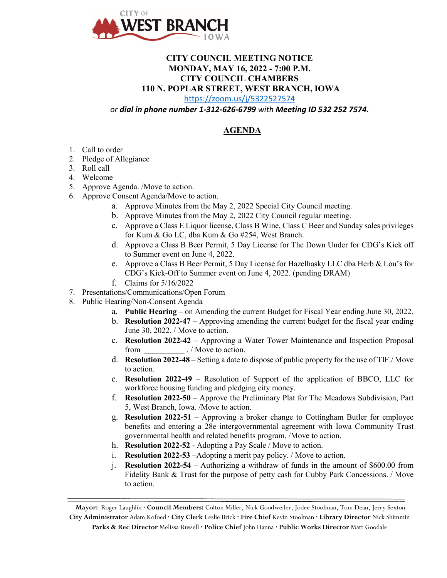

## **CITY COUNCIL MEETING NOTICE MONDAY, MAY 16, 2022 - 7:00 P.M. CITY COUNCIL CHAMBERS 110 N. POPLAR STREET, WEST BRANCH, IOWA**

<https://zoom.us/j/5322527574>

*or dial in phone number 1-312-626-6799 with Meeting ID 532 252 7574.*

## **AGENDA**

- 1. Call to order
- 2. Pledge of Allegiance
- 3. Roll call
- 4. Welcome
- 5. Approve Agenda. /Move to action.
- 6. Approve Consent Agenda/Move to action.
	- a. Approve Minutes from the May 2, 2022 Special City Council meeting.
	- b. Approve Minutes from the May 2, 2022 City Council regular meeting.
	- c. Approve a Class E Liquor license, Class B Wine, Class C Beer and Sunday sales privileges for Kum & Go LC, dba Kum & Go #254, West Branch.
	- d. Approve a Class B Beer Permit, 5 Day License for The Down Under for CDG's Kick off to Summer event on June 4, 2022.
	- e. Approve a Class B Beer Permit, 5 Day License for Hazelhasky LLC dba Herb & Lou's for CDG's Kick-Off to Summer event on June 4, 2022. (pending DRAM)
	- f. Claims for 5/16/2022
- 7. Presentations/Communications/Open Forum
- 8. Public Hearing/Non-Consent Agenda
	- a. **Public Hearing** on Amending the current Budget for Fiscal Year ending June 30, 2022.
	- b. **Resolution 2022-47** Approving amending the current budget for the fiscal year ending June 30, 2022. / Move to action.
	- c. **Resolution 2022-42** Approving a Water Tower Maintenance and Inspection Proposal from  $\cdot$  / Move to action.
	- d. **Resolution 2022-48** Setting a date to dispose of public property for the use of TIF./ Move to action.
	- e. **Resolution 2022-49** Resolution of Support of the application of BBCO, LLC for workforce housing funding and pledging city money.
	- f. **Resolution 2022-50** Approve the Preliminary Plat for The Meadows Subdivision, Part 5, West Branch, Iowa. /Move to action.
	- g. **Resolution 2022-51** Approving a broker change to Cottingham Butler for employee benefits and entering a 28e intergovernmental agreement with Iowa Community Trust governmental health and related benefits program. /Move to action.
	- h. **Resolution 2022-52** Adopting a Pay Scale / Move to action.
	- i. **Resolution 2022-53** –Adopting a merit pay policy. / Move to action.
	- j. **Resolution 2022-54** Authorizing a withdraw of funds in the amount of \$600.00 from Fidelity Bank & Trust for the purpose of petty cash for Cubby Park Concessions. / Move to action.

**Mayor:** Roger Laughlin **· Council Members:** Colton Miller, Nick Goodweiler, Jodee Stoolman, Tom Dean, Jerry Sexton **City Administrator** Adam Kofoed **· City Clerk** Leslie Brick **· Fire Chief** Kevin Stoolman **· Library Director** Nick Shimmin

**Parks & Rec Director** Melissa Russell **· Police Chief** John Hanna **· Public Works Director** Matt Goodale